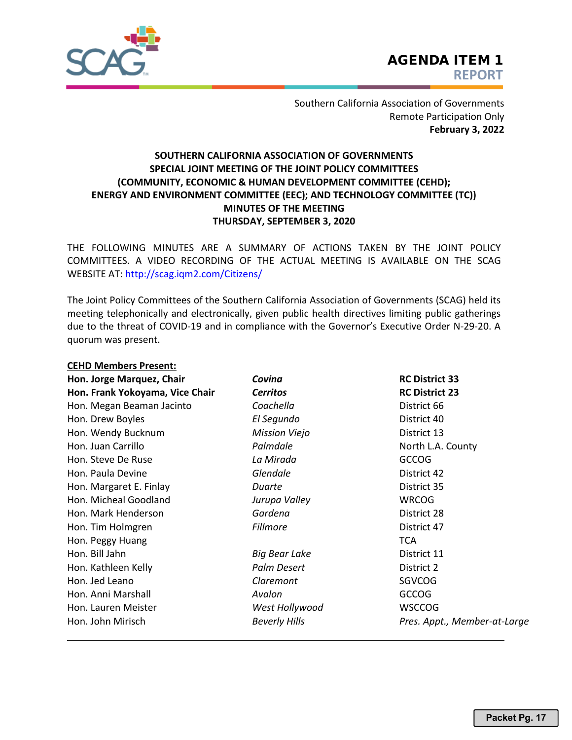

**CEHD Members Present:**

Southern California Association of Governments Remote Participation Only **February 3, 2022**

## **SOUTHERN CALIFORNIA ASSOCIATION OF GOVERNMENTS SPECIAL JOINT MEETING OF THE JOINT POLICY COMMITTEES (COMMUNITY, ECONOMIC & HUMAN DEVELOPMENT COMMITTEE (CEHD); ENERGY AND ENVIRONMENT COMMITTEE (EEC); AND TECHNOLOGY COMMITTEE (TC)) MINUTES OF THE MEETING THURSDAY, SEPTEMBER 3, 2020**

THE FOLLOWING MINUTES ARE A SUMMARY OF ACTIONS TAKEN BY THE JOINT POLICY COMMITTEES. A VIDEO RECORDING OF THE ACTUAL MEETING IS AVAILABLE ON THE SCAG WEBSITE AT: http://scag.iqm2.com/Citizens/

The Joint Policy Committees of the Southern California Association of Governments (SCAG) held its meeting telephonically and electronically, given public health directives limiting public gatherings due to the threat of COVID‐19 and in compliance with the Governor's Executive Order N‐29‐20. A quorum was present.

| CEND IVIEIIIDEIS PIESEIIL.<br>Hon. Jorge Marquez, Chair | Covina               | <b>RC District 33</b>        |
|---------------------------------------------------------|----------------------|------------------------------|
| Hon. Frank Yokoyama, Vice Chair                         | <b>Cerritos</b>      | <b>RC District 23</b>        |
| Hon. Megan Beaman Jacinto                               | Coachella            | District 66                  |
| Hon. Drew Boyles                                        | El Segundo           | District 40                  |
| Hon. Wendy Bucknum                                      | <b>Mission Viejo</b> | District 13                  |
| Hon. Juan Carrillo                                      | Palmdale             | North L.A. County            |
| Hon. Steve De Ruse                                      | La Mirada            | <b>GCCOG</b>                 |
| Hon. Paula Devine                                       | Glendale             | District 42                  |
| Hon. Margaret E. Finlay                                 | Duarte               | District 35                  |
| Hon. Micheal Goodland                                   | Jurupa Valley        | <b>WRCOG</b>                 |
| Hon. Mark Henderson                                     | Gardena              | District 28                  |
| Hon. Tim Holmgren                                       | <b>Fillmore</b>      | District 47                  |
| Hon. Peggy Huang                                        |                      | <b>TCA</b>                   |
| Hon. Bill Jahn                                          | <b>Big Bear Lake</b> | District 11                  |
| Hon. Kathleen Kelly                                     | Palm Desert          | District 2                   |
| Hon. Jed Leano                                          | Claremont            | SGVCOG                       |
| Hon. Anni Marshall                                      | Avalon               | <b>GCCOG</b>                 |
| Hon. Lauren Meister                                     | West Hollywood       | <b>WSCCOG</b>                |
| Hon. John Mirisch                                       | <b>Beverly Hills</b> | Pres. Appt., Member-at-Large |
|                                                         |                      |                              |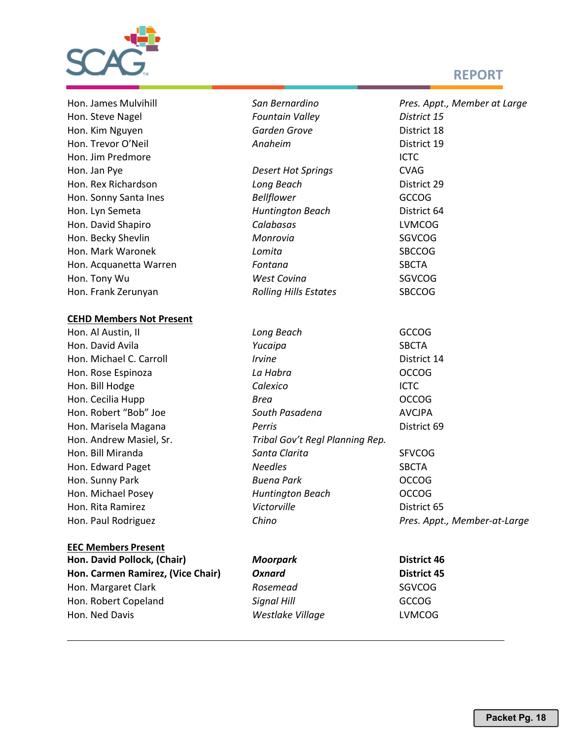

# **REPORT**

| Hon. James Mulvihill              | San Bernardino                  | Pres. Appt., Member at Large |
|-----------------------------------|---------------------------------|------------------------------|
| Hon. Steve Nagel                  | <b>Fountain Valley</b>          | District 15                  |
| Hon. Kim Nguyen                   | Garden Grove                    | District 18                  |
| Hon. Trevor O'Neil                | Anaheim                         | District 19                  |
| Hon. Jim Predmore                 |                                 | <b>ICTC</b>                  |
| Hon. Jan Pye                      | <b>Desert Hot Springs</b>       | <b>CVAG</b>                  |
| Hon. Rex Richardson               | Long Beach                      | District 29                  |
| Hon. Sonny Santa Ines             | <b>Bellflower</b>               | <b>GCCOG</b>                 |
| Hon. Lyn Semeta                   | <b>Huntington Beach</b>         | District 64                  |
| Hon. David Shapiro                | Calabasas                       | <b>LVMCOG</b>                |
| Hon. Becky Shevlin                | Monrovia                        | SGVCOG                       |
| Hon. Mark Waronek                 | Lomita                          | <b>SBCCOG</b>                |
|                                   |                                 |                              |
| Hon. Acquanetta Warren            | Fontana<br><b>West Covina</b>   | <b>SBCTA</b><br>SGVCOG       |
| Hon. Tony Wu                      |                                 |                              |
| Hon. Frank Zerunyan               | <b>Rolling Hills Estates</b>    | <b>SBCCOG</b>                |
| <b>CEHD Members Not Present</b>   |                                 |                              |
| Hon. Al Austin, II                | Long Beach                      | <b>GCCOG</b>                 |
| Hon. David Avila                  | Yucaipa                         | <b>SBCTA</b>                 |
| Hon. Michael C. Carroll           | <b>Irvine</b>                   | District 14                  |
| Hon. Rose Espinoza                | La Habra                        | <b>OCCOG</b>                 |
| Hon. Bill Hodge                   | Calexico                        | <b>ICTC</b>                  |
| Hon. Cecilia Hupp                 | Brea                            | <b>OCCOG</b>                 |
| Hon. Robert "Bob" Joe             | South Pasadena                  | <b>AVCJPA</b>                |
| Hon. Marisela Magana              | Perris                          | District 69                  |
| Hon. Andrew Masiel, Sr.           | Tribal Gov't Regl Planning Rep. |                              |
| Hon. Bill Miranda                 | Santa Clarita                   | <b>SFVCOG</b>                |
| Hon. Edward Paget                 | <b>Needles</b>                  | <b>SBCTA</b>                 |
| Hon. Sunny Park                   | <b>Buena Park</b>               | <b>OCCOG</b>                 |
| Hon. Michael Posey                | <b>Huntington Beach</b>         | <b>OCCOG</b>                 |
| Hon. Rita Ramirez                 | Victorville                     | District 65                  |
| Hon. Paul Rodriguez               | Chino                           | Pres. Appt., Member-at-Large |
| <b>EEC Members Present</b>        |                                 |                              |
| Hon. David Pollock, (Chair)       | <b>Moorpark</b>                 | <b>District 46</b>           |
| Hon. Carmen Ramirez, (Vice Chair) | <b>Oxnard</b>                   | <b>District 45</b>           |
| Hon. Margaret Clark               | Rosemead                        | <b>SGVCOG</b>                |
| Hon. Robert Copeland              | <b>Signal Hill</b>              | <b>GCCOG</b>                 |

Hon. Ned Davis *Westlake Village* LVMCOG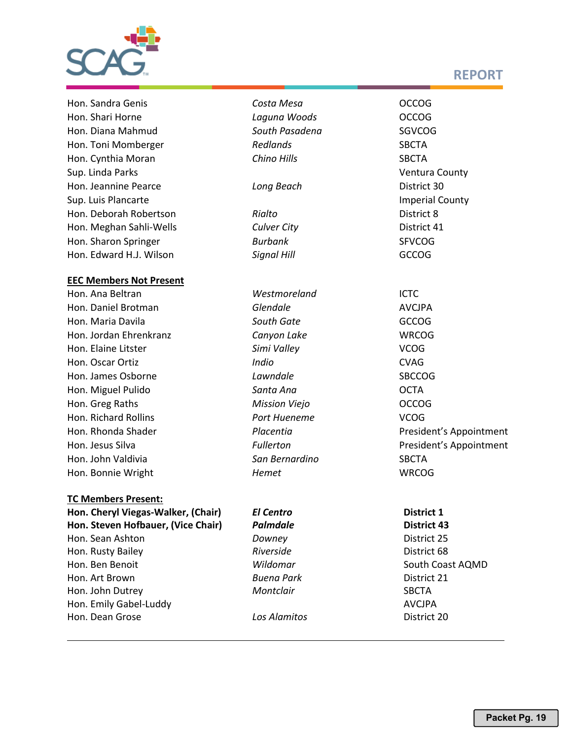

Hon. Sandra Genis *Costa Mesa* OCCOG Hon. Shari Horne *Laguna Woods* OCCOG Hon. Diana Mahmud *South Pasadena* SGVCOG Hon. Toni Momberger *Redlands* SBCTA Hon. Cynthia Moran *Chino Hills* SBCTA Sup. Linda Parks Ventura County Hon. Jeannine Pearce *Long Beach* District 30 Sup. Luis Plancarte **Imperial County** Sup. Luis Plancarte Hon. Deborah Robertson *Rialto* District 8 Hon. Meghan Sahli-Wells *Culver City* District 41 Hon. Sharon Springer **Burbank** Burbank SFVCOG Hon. Edward H.J. Wilson *Signal Hill* GCCOG

#### **EEC Members Not Present**

Hon. Daniel Brotman *Glendale* AVCJPA Hon. Maria Davila *South Gate* GCCOG Hon. Jordan Ehrenkranz *Canyon Lake* WRCOG Hon. Elaine Litster *Simi Valley* VCOG Hon. Oscar Ortiz *Indio* CVAG Hon. James Osborne *Lawndale* SBCCOG Hon. Miguel Pulido *Santa Ana* OCTA Hon. Greg Raths *Mission Viejo* OCCOG Hon. Richard Rollins *Port Hueneme* VCOG Hon. Rhonda Shader *Placentia* Placentia **President's Appointment** Hon. Jesus Silva *Fullerton* President's Appointment Hon. John Valdivia *San Bernardino* SBCTA Hon. Bonnie Wright *Hemet* WRCOG

#### **TC Members Present:**

**Hon. Cheryl Viegas-Walker, (Chair)** *El Centro* **District 1 Hon. Steven Hofbauer, (Vice Chair)** *Palmdale* **District 43** Hon. Sean Ashton *Downey* District 25 **Hon. Rusty Bailey Riverside Propose State State State State State State State State State State State State State State State State State State State State State State State State State State State State State State** Hon. Ben Benoit *Wildomar* South Coast AQMD Hon. Art Brown *Buena Park* District 21 Hon. John Dutrey **Montclair Montclair** SBCTA Hon. Emily Gabel-Luddy AVCJPA Hon. Dean Grose *Los Alamitos* District 20

Hon. Ana Beltran *Westmoreland* ICTC

# **REPORT**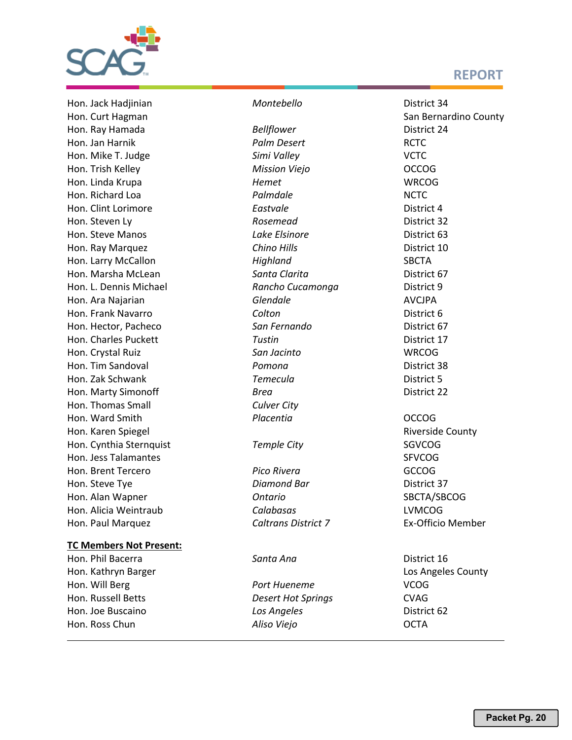

Hon. Jack Hadjinian *Montebello* District 34 Hon. Curt Hagman San Bernardino County Hon. Ray Hamada *Bellflower* District 24 Hon. Jan Harnik *Palm Desert* RCTC Hon. Mike T. Judge *Simi Valley* VCTC Hon. Trish Kelley *Mission Viejo* OCCOG Hon. Linda Krupa *Hemet* WRCOG Hon. Richard Loa *Palmdale* NCTC Hon. Clint Lorimore *Eastvale* District 4 **Hon. Steven Ly Rosemead District 32** Hon. Steve Manos **Busing Steve Manos** *Lake Elsinore* **District 63** Hon. Ray Marquez *Chino Hills* District 10 Hon. Larry McCallon *Highland* SBCTA Hon. Marsha McLean *Santa Clarita* District 67 Hon. L. Dennis Michael *Rancho Cucamonga* District 9 Hon. Ara Najarian *Glendale* AVCJPA Hon. Frank Navarro *Colton* District 6 Hon. Hector, Pacheco *San Fernando* District 67 Hon. Charles Puckett *Tustin* District 17 Hon. Crystal Ruiz *San Jacinto* WRCOG Hon. Tim Sandoval *Pomona* District 38 Hon. Zak Schwank *Temecula* District 5 Hon. Marty Simonoff *Brea* District 22 Hon. Thomas Small *Culver City* Hon. Ward Smith *Placentia* OCCOG Hon. Karen Spiegel **Riverside County** Riverside County Hon. Cynthia Sternquist *Temple City* SGVCOG Hon. Jess Talamantes SFVCOG STATES AND THE SERVE OF STATES AND THE STATES STATES AND THE STATES OF STATES AND THE STATES OF STATES AND THE STATES OF STATES AND THE STATES AND THE STATES OF STATES AND THE STATES OF STATES A Hon. Brent Tercero *Pico Rivera* GCCOG Hon. Steve Tve **Diamond Bar** District 37 Hon. Alan Wapner *Ontario* SBCTA/SBCOG Hon. Alicia Weintraub *Calabasas* LVMCOG Hon. Paul Marquez *Caltrans District 7* Ex-Officio Member

#### **TC Members Not Present:**

Hon. Ross Chun *Aliso Viejo* OCTA

Hon. Phil Bacerra *Santa Ana* District 16 Hon. Kathryn Barger Los Angeles County and Los Angeles County Hon. Will Berg *Port Hueneme* VCOG Hon. Russell Betts *Desert Hot Springs* CVAG Hon. Joe Buscaino *Los Angeles* District 62

- 
- 

# **REPORT**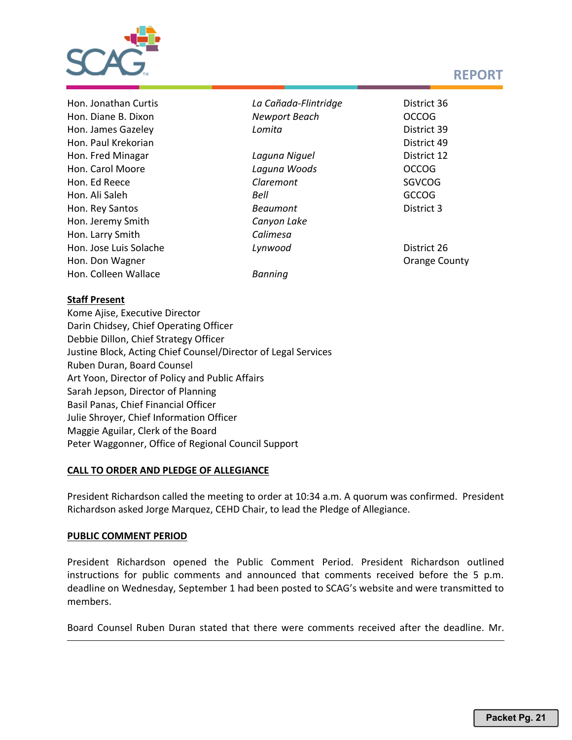

Hon. Jeremy Smith *Canyon Lake* Hon. Larry Smith *Calimesa* Hon. Colleen Wallace *Banning*

Hon. Jonathan Curtis *La Cañada-Flintridge* District 36 Hon. Diane B. Dixon *Newport Beach* OCCOG Hon. James Gazeley *Lomita* District 39 Hon. Paul Krekorian District 49 Hon. Fred Minagar *Laguna Niguel* District 12 Hon. Carol Moore *Laguna Woods* OCCOG Hon. Ed Reece *Claremont* SGVCOG Hon. Ali Saleh *Bell* GCCOG Hon. Rey Santos *Beaumont* District 3 Hon. Jose Luis Solache *Lynwood* District 26 Hon. Don Wagner **No. 2018 County County County County County County County County County County** 

### **Staff Present**

Kome Ajise, Executive Director Darin Chidsey, Chief Operating Officer Debbie Dillon, Chief Strategy Officer Justine Block, Acting Chief Counsel/Director of Legal Services Ruben Duran, Board Counsel Art Yoon, Director of Policy and Public Affairs Sarah Jepson, Director of Planning Basil Panas, Chief Financial Officer Julie Shroyer, Chief Information Officer Maggie Aguilar, Clerk of the Board Peter Waggonner, Office of Regional Council Support

#### **CALL TO ORDER AND PLEDGE OF ALLEGIANCE**

President Richardson called the meeting to order at 10:34 a.m. A quorum was confirmed. President Richardson asked Jorge Marquez, CEHD Chair, to lead the Pledge of Allegiance.

### **PUBLIC COMMENT PERIOD**

President Richardson opened the Public Comment Period. President Richardson outlined instructions for public comments and announced that comments received before the 5 p.m. deadline on Wednesday, September 1 had been posted to SCAG's website and were transmitted to members.

Board Counsel Ruben Duran stated that there were comments received after the deadline. Mr.

# **REPORT**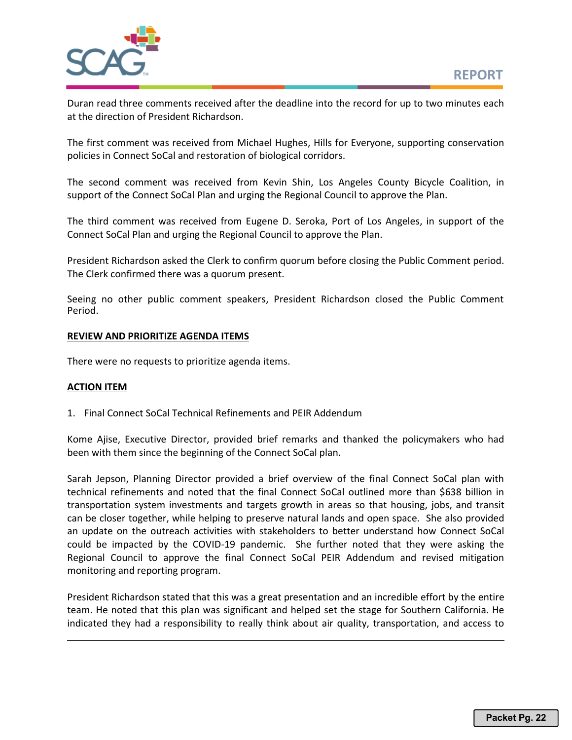

Duran read three comments received after the deadline into the record for up to two minutes each at the direction of President Richardson.

The first comment was received from Michael Hughes, Hills for Everyone, supporting conservation policies in Connect SoCal and restoration of biological corridors.

The second comment was received from Kevin Shin, Los Angeles County Bicycle Coalition, in support of the Connect SoCal Plan and urging the Regional Council to approve the Plan.

The third comment was received from Eugene D. Seroka, Port of Los Angeles, in support of the Connect SoCal Plan and urging the Regional Council to approve the Plan.

President Richardson asked the Clerk to confirm quorum before closing the Public Comment period. The Clerk confirmed there was a quorum present.

Seeing no other public comment speakers, President Richardson closed the Public Comment Period.

#### **REVIEW AND PRIORITIZE AGENDA ITEMS**

There were no requests to prioritize agenda items.

#### **ACTION ITEM**

1. Final Connect SoCal Technical Refinements and PEIR Addendum

Kome Ajise, Executive Director, provided brief remarks and thanked the policymakers who had been with them since the beginning of the Connect SoCal plan.

Sarah Jepson, Planning Director provided a brief overview of the final Connect SoCal plan with technical refinements and noted that the final Connect SoCal outlined more than \$638 billion in transportation system investments and targets growth in areas so that housing, jobs, and transit can be closer together, while helping to preserve natural lands and open space. She also provided an update on the outreach activities with stakeholders to better understand how Connect SoCal could be impacted by the COVID-19 pandemic. She further noted that they were asking the Regional Council to approve the final Connect SoCal PEIR Addendum and revised mitigation monitoring and reporting program.

President Richardson stated that this was a great presentation and an incredible effort by the entire team. He noted that this plan was significant and helped set the stage for Southern California. He indicated they had a responsibility to really think about air quality, transportation, and access to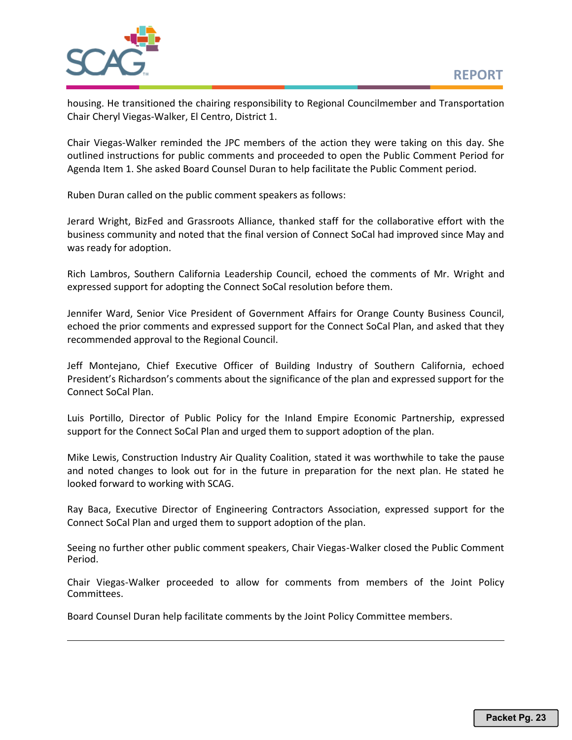

housing. He transitioned the chairing responsibility to Regional Councilmember and Transportation Chair Cheryl Viegas-Walker, El Centro, District 1.

Chair Viegas-Walker reminded the JPC members of the action they were taking on this day. She outlined instructions for public comments and proceeded to open the Public Comment Period for Agenda Item 1. She asked Board Counsel Duran to help facilitate the Public Comment period.

Ruben Duran called on the public comment speakers as follows:

Jerard Wright, BizFed and Grassroots Alliance, thanked staff for the collaborative effort with the business community and noted that the final version of Connect SoCal had improved since May and was ready for adoption.

Rich Lambros, Southern California Leadership Council, echoed the comments of Mr. Wright and expressed support for adopting the Connect SoCal resolution before them.

Jennifer Ward, Senior Vice President of Government Affairs for Orange County Business Council, echoed the prior comments and expressed support for the Connect SoCal Plan, and asked that they recommended approval to the Regional Council.

Jeff Montejano, Chief Executive Officer of Building Industry of Southern California, echoed President's Richardson's comments about the significance of the plan and expressed support for the Connect SoCal Plan.

Luis Portillo, Director of Public Policy for the Inland Empire Economic Partnership, expressed support for the Connect SoCal Plan and urged them to support adoption of the plan.

Mike Lewis, Construction Industry Air Quality Coalition, stated it was worthwhile to take the pause and noted changes to look out for in the future in preparation for the next plan. He stated he looked forward to working with SCAG.

Ray Baca, Executive Director of Engineering Contractors Association, expressed support for the Connect SoCal Plan and urged them to support adoption of the plan.

Seeing no further other public comment speakers, Chair Viegas-Walker closed the Public Comment Period.

Chair Viegas-Walker proceeded to allow for comments from members of the Joint Policy Committees.

Board Counsel Duran help facilitate comments by the Joint Policy Committee members.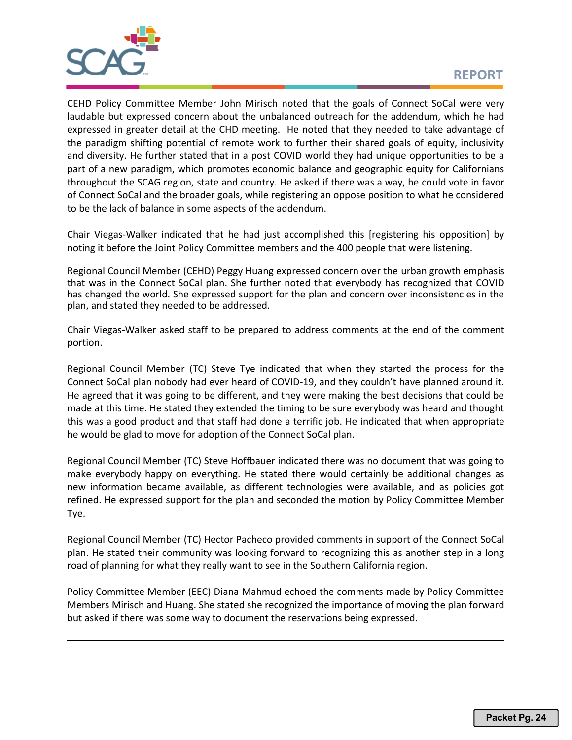

CEHD Policy Committee Member John Mirisch noted that the goals of Connect SoCal were very laudable but expressed concern about the unbalanced outreach for the addendum, which he had expressed in greater detail at the CHD meeting. He noted that they needed to take advantage of the paradigm shifting potential of remote work to further their shared goals of equity, inclusivity and diversity. He further stated that in a post COVID world they had unique opportunities to be a part of a new paradigm, which promotes economic balance and geographic equity for Californians throughout the SCAG region, state and country. He asked if there was a way, he could vote in favor of Connect SoCal and the broader goals, while registering an oppose position to what he considered to be the lack of balance in some aspects of the addendum.

Chair Viegas-Walker indicated that he had just accomplished this [registering his opposition] by noting it before the Joint Policy Committee members and the 400 people that were listening.

Regional Council Member (CEHD) Peggy Huang expressed concern over the urban growth emphasis that was in the Connect SoCal plan. She further noted that everybody has recognized that COVID has changed the world. She expressed support for the plan and concern over inconsistencies in the plan, and stated they needed to be addressed.

Chair Viegas-Walker asked staff to be prepared to address comments at the end of the comment portion.

Regional Council Member (TC) Steve Tye indicated that when they started the process for the Connect SoCal plan nobody had ever heard of COVID-19, and they couldn't have planned around it. He agreed that it was going to be different, and they were making the best decisions that could be made at this time. He stated they extended the timing to be sure everybody was heard and thought this was a good product and that staff had done a terrific job. He indicated that when appropriate he would be glad to move for adoption of the Connect SoCal plan.

Regional Council Member (TC) Steve Hoffbauer indicated there was no document that was going to make everybody happy on everything. He stated there would certainly be additional changes as new information became available, as different technologies were available, and as policies got refined. He expressed support for the plan and seconded the motion by Policy Committee Member Tye.

Regional Council Member (TC) Hector Pacheco provided comments in support of the Connect SoCal plan. He stated their community was looking forward to recognizing this as another step in a long road of planning for what they really want to see in the Southern California region.

Policy Committee Member (EEC) Diana Mahmud echoed the comments made by Policy Committee Members Mirisch and Huang. She stated she recognized the importance of moving the plan forward but asked if there was some way to document the reservations being expressed.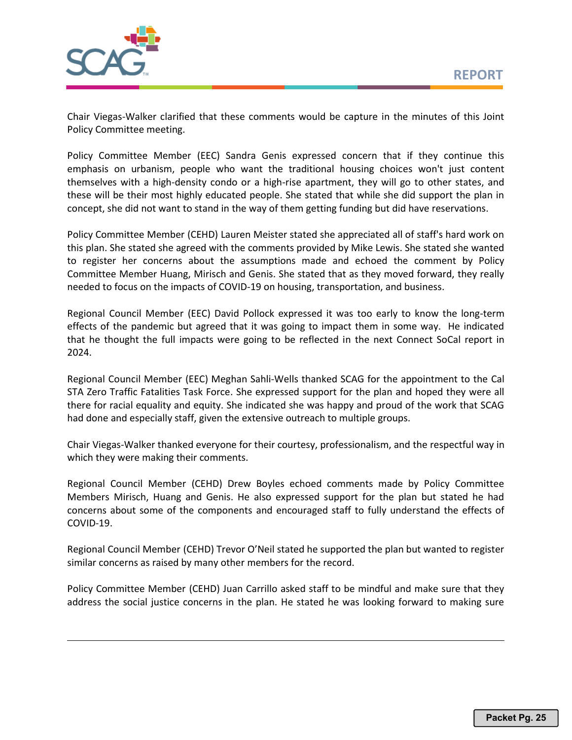

Chair Viegas-Walker clarified that these comments would be capture in the minutes of this Joint Policy Committee meeting.

Policy Committee Member (EEC) Sandra Genis expressed concern that if they continue this emphasis on urbanism, people who want the traditional housing choices won't just content themselves with a high-density condo or a high-rise apartment, they will go to other states, and these will be their most highly educated people. She stated that while she did support the plan in concept, she did not want to stand in the way of them getting funding but did have reservations.

Policy Committee Member (CEHD) Lauren Meister stated she appreciated all of staff's hard work on this plan. She stated she agreed with the comments provided by Mike Lewis. She stated she wanted to register her concerns about the assumptions made and echoed the comment by Policy Committee Member Huang, Mirisch and Genis. She stated that as they moved forward, they really needed to focus on the impacts of COVID-19 on housing, transportation, and business.

Regional Council Member (EEC) David Pollock expressed it was too early to know the long-term effects of the pandemic but agreed that it was going to impact them in some way. He indicated that he thought the full impacts were going to be reflected in the next Connect SoCal report in 2024.

Regional Council Member (EEC) Meghan Sahli-Wells thanked SCAG for the appointment to the Cal STA Zero Traffic Fatalities Task Force. She expressed support for the plan and hoped they were all there for racial equality and equity. She indicated she was happy and proud of the work that SCAG had done and especially staff, given the extensive outreach to multiple groups.

Chair Viegas-Walker thanked everyone for their courtesy, professionalism, and the respectful way in which they were making their comments.

Regional Council Member (CEHD) Drew Boyles echoed comments made by Policy Committee Members Mirisch, Huang and Genis. He also expressed support for the plan but stated he had concerns about some of the components and encouraged staff to fully understand the effects of COVID-19.

Regional Council Member (CEHD) Trevor O'Neil stated he supported the plan but wanted to register similar concerns as raised by many other members for the record.

Policy Committee Member (CEHD) Juan Carrillo asked staff to be mindful and make sure that they address the social justice concerns in the plan. He stated he was looking forward to making sure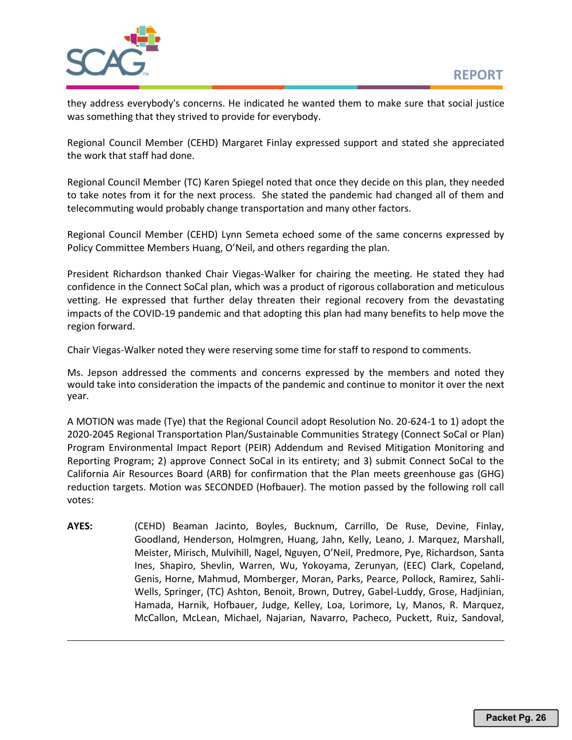

they address everybody's concerns. He indicated he wanted them to make sure that social justice was something that they strived to provide for everybody.

Regional Council Member (CEHD) Margaret Finlay expressed support and stated she appreciated the work that staff had done.

Regional Council Member (TC) Karen Spiegel noted that once they decide on this plan, they needed to take notes from it for the next process. She stated the pandemic had changed all of them and telecommuting would probably change transportation and many other factors.

Regional Council Member (CEHD) Lynn Semeta echoed some of the same concerns expressed by Policy Committee Members Huang, O'Neil, and others regarding the plan.

President Richardson thanked Chair Viegas-Walker for chairing the meeting. He stated they had confidence in the Connect SoCal plan, which was a product of rigorous collaboration and meticulous vetting. He expressed that further delay threaten their regional recovery from the devastating impacts of the COVID-19 pandemic and that adopting this plan had many benefits to help move the region forward.

Chair Viegas-Walker noted they were reserving some time for staff to respond to comments.

Ms. Jepson addressed the comments and concerns expressed by the members and noted they would take into consideration the impacts of the pandemic and continue to monitor it over the next year.

A MOTION was made (Tye) that the Regional Council adopt Resolution No. 20-624-1 to 1) adopt the 2020-2045 Regional Transportation Plan/Sustainable Communities Strategy (Connect SoCal or Plan) Program Environmental Impact Report (PEIR) Addendum and Revised Mitigation Monitoring and Reporting Program; 2) approve Connect SoCal in its entirety; and 3) submit Connect SoCal to the California Air Resources Board (ARB) for confirmation that the Plan meets greenhouse gas (GHG) reduction targets. Motion was SECONDED (Hofbauer). The motion passed by the following roll call votes:

**AYES:** (CEHD) Beaman Jacinto, Boyles, Bucknum, Carrillo, De Ruse, Devine, Finlay, Goodland, Henderson, Holmgren, Huang, Jahn, Kelly, Leano, J. Marquez, Marshall, Meister, Mirisch, Mulvihill, Nagel, Nguyen, O'Neil, Predmore, Pye, Richardson, Santa Ines, Shapiro, Shevlin, Warren, Wu, Yokoyama, Zerunyan, (EEC) Clark, Copeland, Genis, Horne, Mahmud, Momberger, Moran, Parks, Pearce, Pollock, Ramirez, Sahli-Wells, Springer, (TC) Ashton, Benoit, Brown, Dutrey, Gabel-Luddy, Grose, Hadjinian, Hamada, Harnik, Hofbauer, Judge, Kelley, Loa, Lorimore, Ly, Manos, R. Marquez, McCallon, McLean, Michael, Najarian, Navarro, Pacheco, Puckett, Ruiz, Sandoval,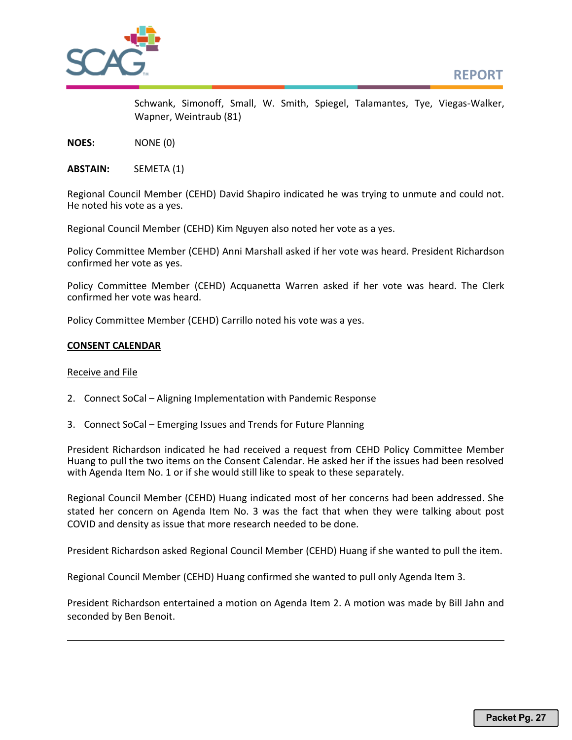

Schwank, Simonoff, Small, W. Smith, Spiegel, Talamantes, Tye, Viegas-Walker, Wapner, Weintraub (81)

**NOES:** NONE (0)

**ABSTAIN:** SEMETA (1)

Regional Council Member (CEHD) David Shapiro indicated he was trying to unmute and could not. He noted his vote as a yes.

Regional Council Member (CEHD) Kim Nguyen also noted her vote as a yes.

Policy Committee Member (CEHD) Anni Marshall asked if her vote was heard. President Richardson confirmed her vote as yes.

Policy Committee Member (CEHD) Acquanetta Warren asked if her vote was heard. The Clerk confirmed her vote was heard.

Policy Committee Member (CEHD) Carrillo noted his vote was a yes.

#### **CONSENT CALENDAR**

#### Receive and File

- 2. Connect SoCal Aligning Implementation with Pandemic Response
- 3. Connect SoCal Emerging Issues and Trends for Future Planning

President Richardson indicated he had received a request from CEHD Policy Committee Member Huang to pull the two items on the Consent Calendar. He asked her if the issues had been resolved with Agenda Item No. 1 or if she would still like to speak to these separately.

Regional Council Member (CEHD) Huang indicated most of her concerns had been addressed. She stated her concern on Agenda Item No. 3 was the fact that when they were talking about post COVID and density as issue that more research needed to be done.

President Richardson asked Regional Council Member (CEHD) Huang if she wanted to pull the item.

Regional Council Member (CEHD) Huang confirmed she wanted to pull only Agenda Item 3.

President Richardson entertained a motion on Agenda Item 2. A motion was made by Bill Jahn and seconded by Ben Benoit.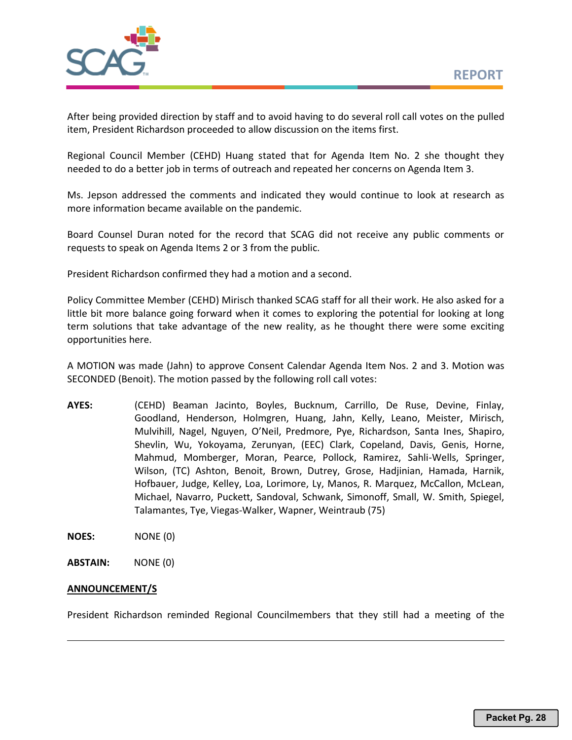

After being provided direction by staff and to avoid having to do several roll call votes on the pulled item, President Richardson proceeded to allow discussion on the items first.

Regional Council Member (CEHD) Huang stated that for Agenda Item No. 2 she thought they needed to do a better job in terms of outreach and repeated her concerns on Agenda Item 3.

Ms. Jepson addressed the comments and indicated they would continue to look at research as more information became available on the pandemic.

Board Counsel Duran noted for the record that SCAG did not receive any public comments or requests to speak on Agenda Items 2 or 3 from the public.

President Richardson confirmed they had a motion and a second.

Policy Committee Member (CEHD) Mirisch thanked SCAG staff for all their work. He also asked for a little bit more balance going forward when it comes to exploring the potential for looking at long term solutions that take advantage of the new reality, as he thought there were some exciting opportunities here.

A MOTION was made (Jahn) to approve Consent Calendar Agenda Item Nos. 2 and 3. Motion was SECONDED (Benoit). The motion passed by the following roll call votes:

**AYES:** (CEHD) Beaman Jacinto, Boyles, Bucknum, Carrillo, De Ruse, Devine, Finlay, Goodland, Henderson, Holmgren, Huang, Jahn, Kelly, Leano, Meister, Mirisch, Mulvihill, Nagel, Nguyen, O'Neil, Predmore, Pye, Richardson, Santa Ines, Shapiro, Shevlin, Wu, Yokoyama, Zerunyan, (EEC) Clark, Copeland, Davis, Genis, Horne, Mahmud, Momberger, Moran, Pearce, Pollock, Ramirez, Sahli-Wells, Springer, Wilson, (TC) Ashton, Benoit, Brown, Dutrey, Grose, Hadjinian, Hamada, Harnik, Hofbauer, Judge, Kelley, Loa, Lorimore, Ly, Manos, R. Marquez, McCallon, McLean, Michael, Navarro, Puckett, Sandoval, Schwank, Simonoff, Small, W. Smith, Spiegel, Talamantes, Tye, Viegas-Walker, Wapner, Weintraub (75)

**NOES:** NONE (0)

**ABSTAIN:** NONE (0)

#### **ANNOUNCEMENT/S**

President Richardson reminded Regional Councilmembers that they still had a meeting of the